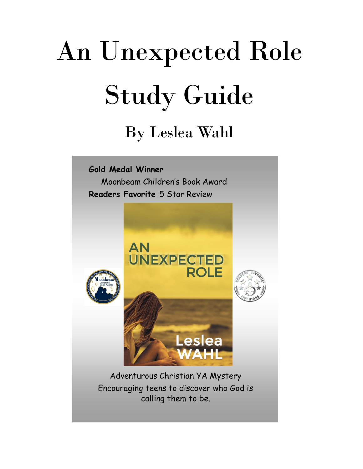# An Unexpected Role Study Guide

### By Leslea Wahl

Gold Medal Winner Moonbeam Children's Book Award Readers Favorite 5 Star Review



calling them to be.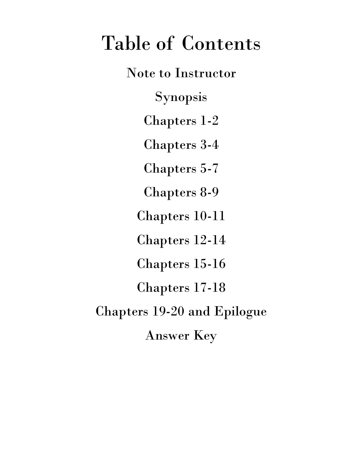## Table of Contents

Note to Instructor Synopsis Chapters 1-2 Chapters 3-4 Chapters 5-7 Chapters 8-9 Chapters 10-11 Chapters 12-14 Chapters 15-16 Chapters 17-18 Chapters 19-20 and Epilogue Answer Key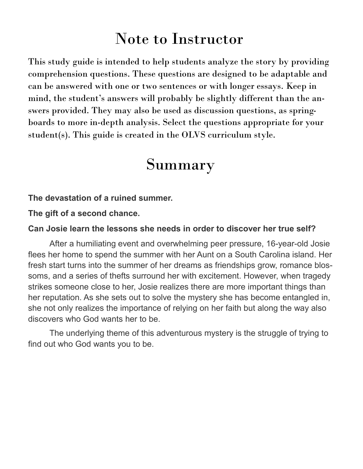### Note to Instructor

This study guide is intended to help students analyze the story by providing comprehension questions. These questions are designed to be adaptable and can be answered with one or two sentences or with longer essays. Keep in mind, the student's answers will probably be slightly different than the answers provided. They may also be used as discussion questions, as springboards to more in-depth analysis. Select the questions appropriate for your student(s). This guide is created in the OLVS curriculum style.

### Summary

#### **The devastation of a ruined summer.**

**The gift of a second chance.**

#### **Can Josie learn the lessons she needs in order to discover her true self?**

After a humiliating event and overwhelming peer pressure, 16-year-old Josie flees her home to spend the summer with her Aunt on a South Carolina island. Her fresh start turns into the summer of her dreams as friendships grow, romance blossoms, and a series of thefts surround her with excitement. However, when tragedy strikes someone close to her, Josie realizes there are more important things than her reputation. As she sets out to solve the mystery she has become entangled in, she not only realizes the importance of relying on her faith but along the way also discovers who God wants her to be.

The underlying theme of this adventurous mystery is the struggle of trying to find out who God wants you to be.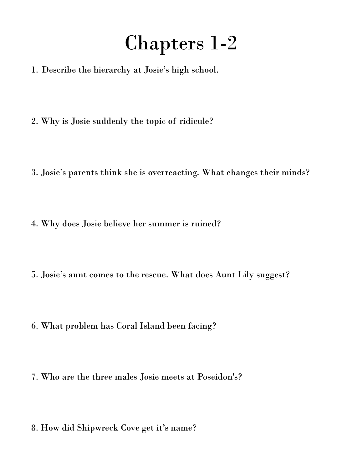## Chapters 1-2

- 1. Describe the hierarchy at Josie's high school.
- 2. Why is Josie suddenly the topic of ridicule?
- 3. Josie's parents think she is overreacting. What changes their minds?
- 4. Why does Josie believe her summer is ruined?
- 5. Josie's aunt comes to the rescue. What does Aunt Lily suggest?
- 6. What problem has Coral Island been facing?
- 7. Who are the three males Josie meets at Poseidon's?
- 8. How did Shipwreck Cove get it's name?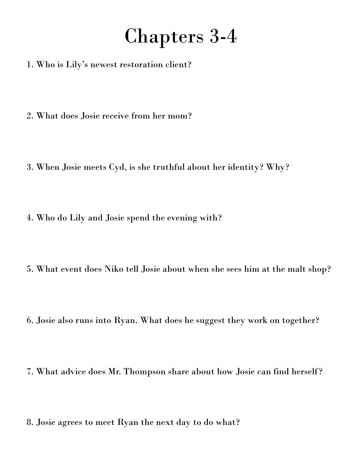## Chapters 3-4

- 1. Who is Lily's newest restoration client?
- 2. What does Josie receive from her mom?
- 3. When Josie meets Cyd, is she truthful about her identity? Why?
- 4. Who do Lily and Josie spend the evening with?
- 5. What event does Niko tell Josie about when she sees him at the malt shop?
- 6. Josie also runs into Ryan. What does he suggest they work on together?
- 7. What advice does Mr. Thompson share about how Josie can find herself?
- 8. Josie agrees to meet Ryan the next day to do what?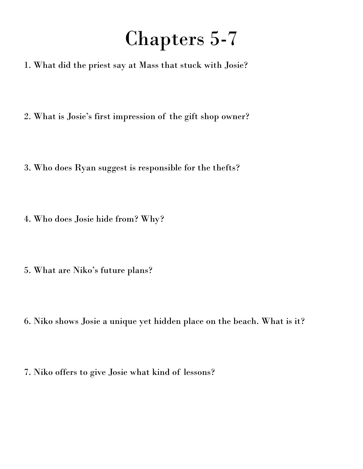# Chapters 5-7

- 1. What did the priest say at Mass that stuck with Josie?
- 2. What is Josie's first impression of the gift shop owner?
- 3. Who does Ryan suggest is responsible for the thefts?
- 4. Who does Josie hide from? Why?
- 5. What are Niko's future plans?
- 6. Niko shows Josie a unique yet hidden place on the beach. What is it?
- 7. Niko offers to give Josie what kind of lessons?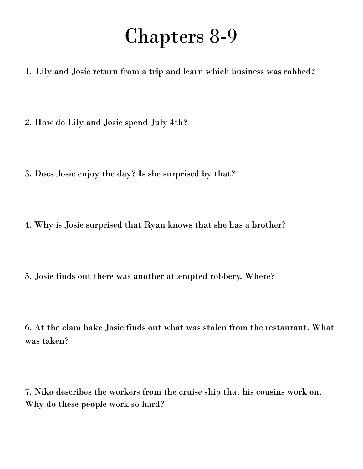### Chapters 8-9

1. Lily and Josie return from a trip and learn which business was robbed?

2. How do Lily and Josie spend July 4th?

- 3. Does Josie enjoy the day? Is she surprised by that?
- 4. Why is Josie surprised that Ryan knows that she has a brother?
- 5. Josie finds out there was another attempted robbery. Where?

6. At the clam bake Josie finds out what was stolen from the restaurant. What was taken?

7. Niko describes the workers from the cruise ship that his cousins work on. Why do these people work so hard?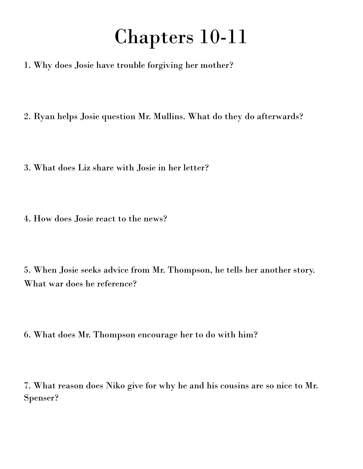### Chapters 10-11

- 1. Why does Josie have trouble forgiving her mother?
- 2. Ryan helps Josie question Mr. Mullins. What do they do afterwards?
- 3. What does Liz share with Josie in her letter?
- 4. How does Josie react to the news?
- 5. When Josie seeks advice from Mr. Thompson, he tells her another story. What war does he reference?
- 6. What does Mr. Thompson encourage her to do with him?
- 7. What reason does Niko give for why he and his cousins are so nice to Mr. Spenser?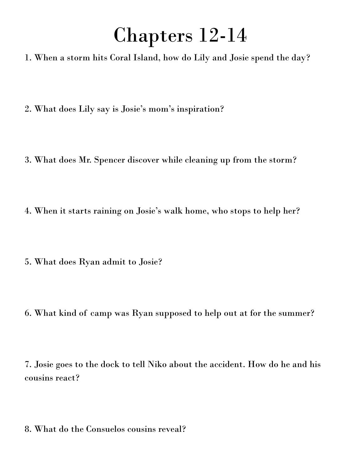### Chapters 12-14

1. When a storm hits Coral Island, how do Lily and Josie spend the day?

- 2. What does Lily say is Josie's mom's inspiration?
- 3. What does Mr. Spencer discover while cleaning up from the storm?
- 4. When it starts raining on Josie's walk home, who stops to help her?
- 5. What does Ryan admit to Josie?
- 6. What kind of camp was Ryan supposed to help out at for the summer?

7. Josie goes to the dock to tell Niko about the accident. How do he and his cousins react?

8. What do the Consuelos cousins reveal?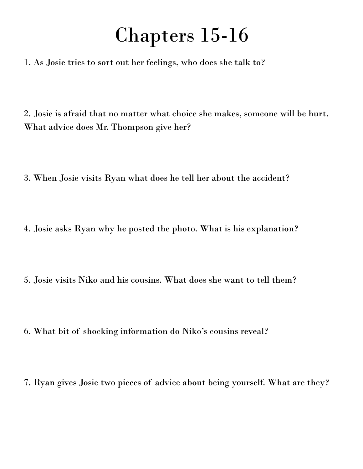### Chapters 15-16

1. As Josie tries to sort out her feelings, who does she talk to?

2. Josie is afraid that no matter what choice she makes, someone will be hurt. What advice does Mr. Thompson give her?

3. When Josie visits Ryan what does he tell her about the accident?

4. Josie asks Ryan why he posted the photo. What is his explanation?

5. Josie visits Niko and his cousins. What does she want to tell them?

6. What bit of shocking information do Niko's cousins reveal?

7. Ryan gives Josie two pieces of advice about being yourself. What are they?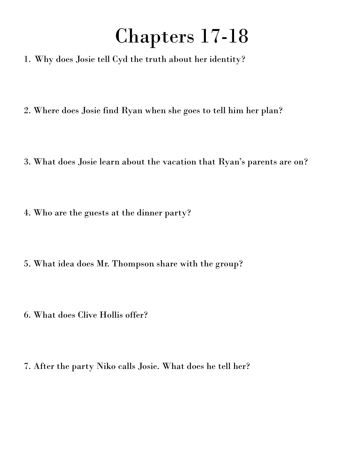## Chapters 17-18

- 1. Why does Josie tell Cyd the truth about her identity?
- 2. Where does Josie find Ryan when she goes to tell him her plan?
- 3. What does Josie learn about the vacation that Ryan's parents are on?
- 4. Who are the guests at the dinner party?
- 5. What idea does Mr. Thompson share with the group?
- 6. What does Clive Hollis offer?
- 7. After the party Niko calls Josie. What does he tell her?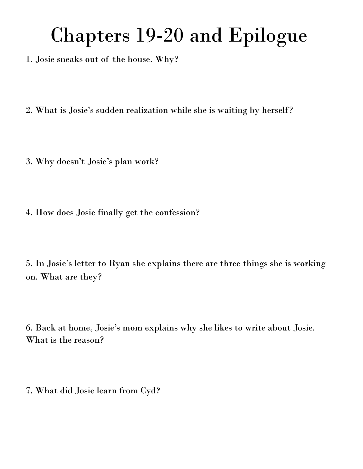# Chapters 19-20 and Epilogue

1. Josie sneaks out of the house. Why?

2. What is Josie's sudden realization while she is waiting by herself?

3. Why doesn't Josie's plan work?

4. How does Josie finally get the confession?

5. In Josie's letter to Ryan she explains there are three things she is working on. What are they?

6. Back at home, Josie's mom explains why she likes to write about Josie. What is the reason?

7. What did Josie learn from Cyd?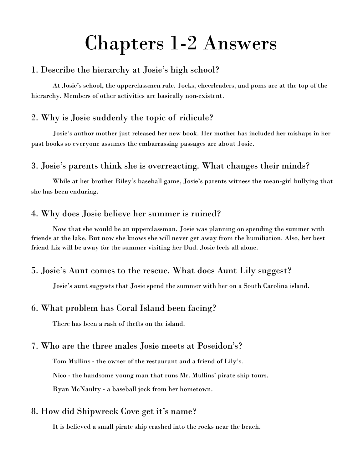### Chapters 1-2 Answers

#### 1. Describe the hierarchy at Josie's high school?

At Josie's school, the upperclassmen rule. Jocks, cheerleaders, and poms are at the top of the hierarchy. Members of other activities are basically non-existent.

#### 2. Why is Josie suddenly the topic of ridicule?

Josie's author mother just released her new book. Her mother has included her mishaps in her past books so everyone assumes the embarrassing passages are about Josie.

#### 3. Josie's parents think she is overreacting. What changes their minds?

While at her brother Riley's baseball game, Josie's parents witness the mean-girl bullying that she has been enduring.

#### 4. Why does Josie believe her summer is ruined?

Now that she would be an upperclassman, Josie was planning on spending the summer with friends at the lake. But now she knows she will never get away from the humiliation. Also, her best friend Liz will be away for the summer visiting her Dad. Josie feels all alone.

#### 5. Josie's Aunt comes to the rescue. What does Aunt Lily suggest?

Josie's aunt suggests that Josie spend the summer with her on a South Carolina island.

#### 6. What problem has Coral Island been facing?

There has been a rash of thefts on the island.

#### 7. Who are the three males Josie meets at Poseidon's?

Tom Mullins - the owner of the restaurant and a friend of Lily's.

Nico - the handsome young man that runs Mr. Mullins' pirate ship tours.

Ryan McNaulty - a baseball jock from her hometown.

#### 8. How did Shipwreck Cove get it's name?

It is believed a small pirate ship crashed into the rocks near the beach.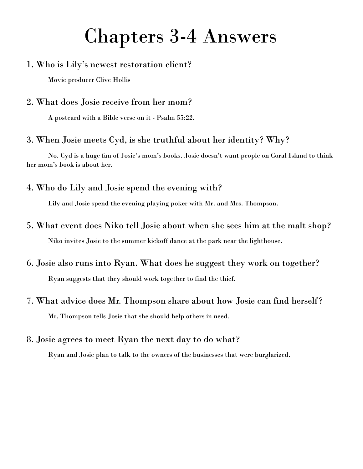### Chapters 3-4 Answers

#### 1. Who is Lily's newest restoration client?

Movie producer Clive Hollis

#### 2. What does Josie receive from her mom?

A postcard with a Bible verse on it - Psalm 55:22.

#### 3. When Josie meets Cyd, is she truthful about her identity? Why?

No. Cyd is a huge fan of Josie's mom's books. Josie doesn't want people on Coral Island to think her mom's book is about her.

4. Who do Lily and Josie spend the evening with?

Lily and Josie spend the evening playing poker with Mr. and Mrs. Thompson.

- 5. What event does Niko tell Josie about when she sees him at the malt shop? Niko invites Josie to the summer kickoff dance at the park near the lighthouse.
- 6. Josie also runs into Ryan. What does he suggest they work on together? Ryan suggests that they should work together to find the thief.
- 7. What advice does Mr. Thompson share about how Josie can find herself? Mr. Thompson tells Josie that she should help others in need.

#### 8. Josie agrees to meet Ryan the next day to do what?

Ryan and Josie plan to talk to the owners of the businesses that were burglarized.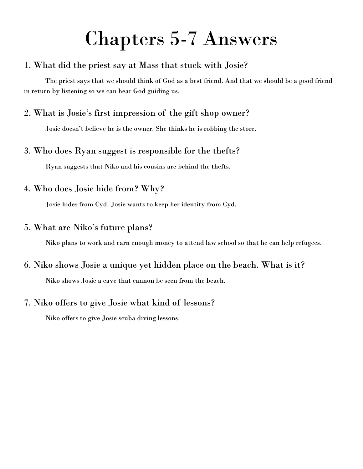### Chapters 5-7 Answers

#### 1. What did the priest say at Mass that stuck with Josie?

The priest says that we should think of God as a best friend. And that we should be a good friend in return by listening so we can hear God guiding us.

#### 2. What is Josie's first impression of the gift shop owner?

Josie doesn't believe he is the owner. She thinks he is robbing the store.

#### 3. Who does Ryan suggest is responsible for the thefts?

Ryan suggests that Niko and his cousins are behind the thefts.

#### 4. Who does Josie hide from? Why?

Josie hides from Cyd. Josie wants to keep her identity from Cyd.

#### 5. What are Niko's future plans?

Niko plans to work and earn enough money to attend law school so that he can help refugees.

#### 6. Niko shows Josie a unique yet hidden place on the beach. What is it?

Niko shows Josie a cave that cannon be seen from the beach.

#### 7. Niko offers to give Josie what kind of lessons?

Niko offers to give Josie scuba diving lessons.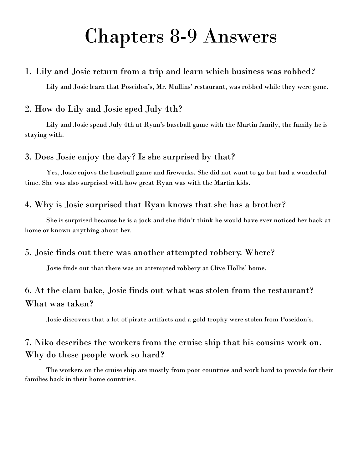### Chapters 8-9 Answers

#### 1. Lily and Josie return from a trip and learn which business was robbed?

Lily and Josie learn that Poseidon's, Mr. Mullins' restaurant, was robbed while they were gone.

#### 2. How do Lily and Josie sped July 4th?

Lily and Josie spend July 4th at Ryan's baseball game with the Martin family, the family he is staying with.

#### 3. Does Josie enjoy the day? Is she surprised by that?

Yes, Josie enjoys the baseball game and fireworks. She did not want to go but had a wonderful time. She was also surprised with how great Ryan was with the Martin kids.

#### 4. Why is Josie surprised that Ryan knows that she has a brother?

She is surprised because he is a jock and she didn't think he would have ever noticed her back at home or known anything about her.

#### 5. Josie finds out there was another attempted robbery. Where?

Josie finds out that there was an attempted robbery at Clive Hollis' home.

#### 6. At the clam bake, Josie finds out what was stolen from the restaurant? What was taken?

Josie discovers that a lot of pirate artifacts and a gold trophy were stolen from Poseidon's.

#### 7. Niko describes the workers from the cruise ship that his cousins work on. Why do these people work so hard?

The workers on the cruise ship are mostly from poor countries and work hard to provide for their families back in their home countries.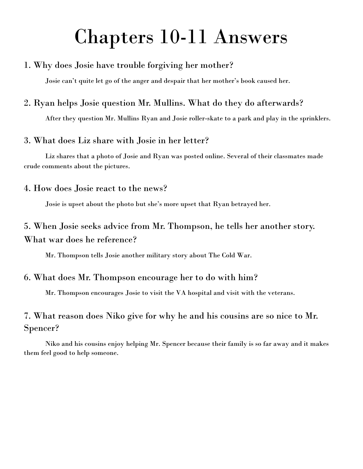### Chapters 10-11 Answers

#### 1. Why does Josie have trouble forgiving her mother?

Josie can't quite let go of the anger and despair that her mother's book caused her.

#### 2. Ryan helps Josie question Mr. Mullins. What do they do afterwards?

After they question Mr. Mullins Ryan and Josie roller-skate to a park and play in the sprinklers.

#### 3. What does Liz share with Josie in her letter?

Liz shares that a photo of Josie and Ryan was posted online. Several of their classmates made crude comments about the pictures.

#### 4. How does Josie react to the news?

Josie is upset about the photo but she's more upset that Ryan betrayed her.

#### 5. When Josie seeks advice from Mr. Thompson, he tells her another story. What war does he reference?

Mr. Thompson tells Josie another military story about The Cold War.

#### 6. What does Mr. Thompson encourage her to do with him?

Mr. Thompson encourages Josie to visit the VA hospital and visit with the veterans.

#### 7. What reason does Niko give for why he and his cousins are so nice to Mr. Spencer?

Niko and his cousins enjoy helping Mr. Spencer because their family is so far away and it makes them feel good to help someone.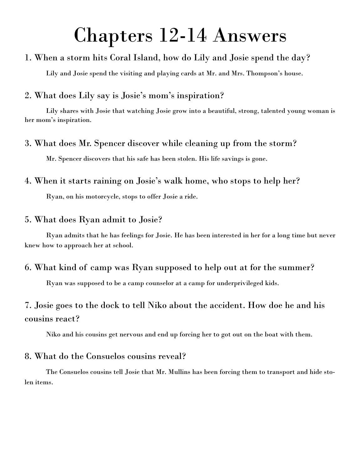### Chapters 12-14 Answers

#### 1. When a storm hits Coral Island, how do Lily and Josie spend the day?

Lily and Josie spend the visiting and playing cards at Mr. and Mrs. Thompson's house.

#### 2. What does Lily say is Josie's mom's inspiration?

Lily shares with Josie that watching Josie grow into a beautiful, strong, talented young woman is her mom's inspiration.

#### 3. What does Mr. Spencer discover while cleaning up from the storm?

Mr. Spencer discovers that his safe has been stolen. His life savings is gone.

#### 4. When it starts raining on Josie's walk home, who stops to help her?

Ryan, on his motorcycle, stops to offer Josie a ride.

#### 5. What does Ryan admit to Josie?

Ryan admits that he has feelings for Josie. He has been interested in her for a long time but never knew how to approach her at school.

#### 6. What kind of camp was Ryan supposed to help out at for the summer?

Ryan was supposed to be a camp counselor at a camp for underprivileged kids.

#### 7. Josie goes to the dock to tell Niko about the accident. How doe he and his cousins react?

Niko and his cousins get nervous and end up forcing her to got out on the boat with them.

#### 8. What do the Consuelos cousins reveal?

The Consuelos cousins tell Josie that Mr. Mullins has been forcing them to transport and hide stolen items.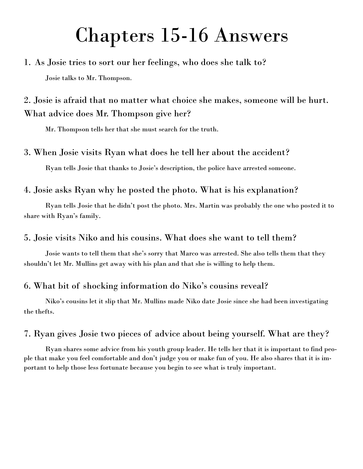### Chapters 15-16 Answers

#### 1. As Josie tries to sort our her feelings, who does she talk to?

Josie talks to Mr. Thompson.

2. Josie is afraid that no matter what choice she makes, someone will be hurt. What advice does Mr. Thompson give her?

Mr. Thompson tells her that she must search for the truth.

#### 3. When Josie visits Ryan what does he tell her about the accident?

Ryan tells Josie that thanks to Josie's description, the police have arrested someone.

#### 4. Josie asks Ryan why he posted the photo. What is his explanation?

Ryan tells Josie that he didn't post the photo. Mrs. Martin was probably the one who posted it to share with Ryan's family.

#### 5. Josie visits Niko and his cousins. What does she want to tell them?

Josie wants to tell them that she's sorry that Marco was arrested. She also tells them that they shouldn't let Mr. Mullins get away with his plan and that she is willing to help them.

#### 6. What bit of shocking information do Niko's cousins reveal?

Niko's cousins let it slip that Mr. Mullins made Niko date Josie since she had been investigating the thefts.

#### 7. Ryan gives Josie two pieces of advice about being yourself. What are they?

Ryan shares some advice from his youth group leader. He tells her that it is important to find people that make you feel comfortable and don't judge you or make fun of you. He also shares that it is important to help those less fortunate because you begin to see what is truly important.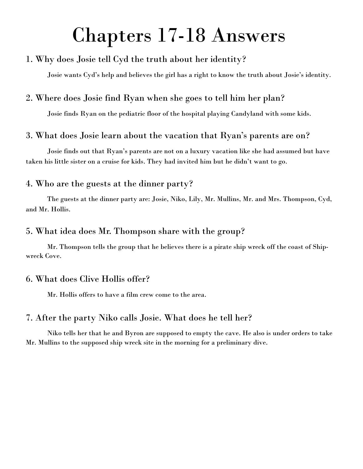### Chapters 17-18 Answers

#### 1. Why does Josie tell Cyd the truth about her identity?

Josie wants Cyd's help and believes the girl has a right to know the truth about Josie's identity.

#### 2. Where does Josie find Ryan when she goes to tell him her plan?

Josie finds Ryan on the pediatric floor of the hospital playing Candyland with some kids.

#### 3. What does Josie learn about the vacation that Ryan's parents are on?

Josie finds out that Ryan's parents are not on a luxury vacation like she had assumed but have taken his little sister on a cruise for kids. They had invited him but he didn't want to go.

#### 4. Who are the guests at the dinner party?

The guests at the dinner party are: Josie, Niko, Lily, Mr. Mullins, Mr. and Mrs. Thompson, Cyd, and Mr. Hollis.

#### 5. What idea does Mr. Thompson share with the group?

Mr. Thompson tells the group that he believes there is a pirate ship wreck off the coast of Shipwreck Cove.

#### 6. What does Clive Hollis offer?

Mr. Hollis offers to have a film crew come to the area.

#### 7. After the party Niko calls Josie. What does he tell her?

Niko tells her that he and Byron are supposed to empty the cave. He also is under orders to take Mr. Mullins to the supposed ship wreck site in the morning for a preliminary dive.